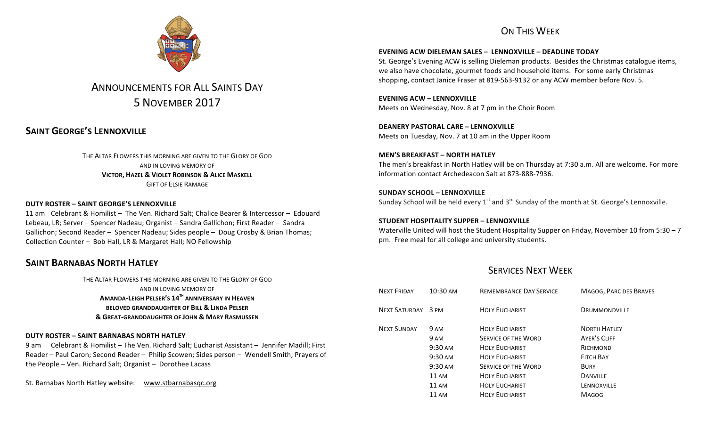# ON THIS WFFK



# ANNOUNCEMENTS FOR ALL SAINTS DAY 5 NOVEMBER 2017

# **SAINT GEORGE'S LENNOXVILLE**

THE ALTAR FLOWERS THIS MORNING ARE GIVEN TO THE GLORY OF GOD. AND IN LOVING MEMORY OF **VICTOR, HAZEL & VIOLET ROBINSON & ALICE MASKELL GIFT OF FLSIF RAMAGE** 

#### **DUTY ROSTER – SAINT GEORGE'S LENNOXVILLE**

11 am Celebrant & Homilist – The Ven. Richard Salt: Chalice Bearer & Intercessor – Edouard Lebeau, LR; Server – Spencer Nadeau; Organist – Sandra Gallichon; First Reader – Sandra Gallichon; Second Reader - Spencer Nadeau; Sides people - Doug Crosby & Brian Thomas; Collection Counter - Bob Hall, LR & Margaret Hall; NO Fellowship

# **SAINT BARNABAS NORTH HATLEY**

THE ALTAR FLOWERS THIS MORNING ARE GIVEN TO THE GLORY OF GOD AND IN LOVING MEMORY OF **AMANDA-LEIGH PELSER'S 14TH ANNIVERSARY IN HEAVEN BELOVED GRANDDAUGHTER OF BILL & LINDA PELSER & GREAT-GRANDDAUGHTER OF JOHN & MARY RASMUSSEN**

#### **DUTY ROSTER – SAINT BARNABAS NORTH HATLEY**

9 am Celebrant & Homilist – The Ven. Richard Salt; Eucharist Assistant – Jennifer Madill; First Reader – Paul Caron; Second Reader – Philip Scowen; Sides person – Wendell Smith; Prayers of the People  $-$  Ven. Richard Salt; Organist  $-$  Dorothee Lacass

St. Barnabas North Hatley website: www.stbarnabasqc.org

#### **EVENING ACW DIELEMAN SALES – LENNOXVILLE – DEADLINE TODAY**

St. George's Evening ACW is selling Dieleman products. Besides the Christmas catalogue items, we also have chocolate, gourmet foods and household items. For some early Christmas shopping, contact Janice Fraser at 819-563-9132 or any ACW member before Nov. 5.

**EVENING ACW – LENNOXVILLE** Meets on Wednesday, Nov. 8 at 7 pm in the Choir Room

**DEANERY PASTORAL CARE – LENNOXVILLE** Meets on Tuesday, Nov. 7 at 10 am in the Upper Room

**MEN'S BREAKFAST – NORTH HATLEY** The men's breakfast in North Hatley will be on Thursday at 7:30 a.m. All are welcome. For more information contact Archedeacon Salt at 873-888-7936.

**SUNDAY SCHOOL – LENNOXVILLE** Sunday School will be held every  $1^{st}$  and  $3^{rd}$  Sunday of the month at St. George's Lennoxville.

**STUDENT HOSPITALITY SUPPER – LENNOXVILLE** Waterville United will host the Student Hospitality Supper on Friday, November 10 from 5:30 - 7 pm. Free meal for all college and university students.

# **SERVICES NEXT WEEK**

| <b>NEXT FRIDAY</b>   | 10:30 AM                               | <b>REMEMBRANCE DAY SERVICE</b>                      | MAGOG, PARC DES BRAVES                     |
|----------------------|----------------------------------------|-----------------------------------------------------|--------------------------------------------|
| <b>NEXT SATURDAY</b> | 3 PM                                   | <b>HOLY EUCHARIST</b>                               | <b>DRUMMONDVILLE</b>                       |
| <b>NEXT SUNDAY</b>   | 9 AM                                   | <b>HOLY EUCHARIST</b><br><b>SERVICE OF THE WORD</b> | <b>NORTH HATLEY</b><br><b>AYER'S CLIFF</b> |
|                      | 9 AM<br>$9:30 \text{ AM}$              | <b>HOLY EUCHARIST</b>                               | RICHMOND                                   |
|                      | $9:30 \text{ AM}$<br>$9:30 \text{ AM}$ | <b>HOLY FUCHARIST</b><br><b>SERVICE OF THE WORD</b> | <b>FITCH BAY</b><br><b>BURY</b>            |
|                      | 11AM                                   | <b>HOLY EUCHARIST</b>                               | <b>DANVILLE</b>                            |
|                      | 11AM                                   | <b>HOLY EUCHARIST</b>                               | LENNOXVILLE                                |
|                      | 11 AM                                  | <b>HOLY EUCHARIST</b>                               | <b>MAGOG</b>                               |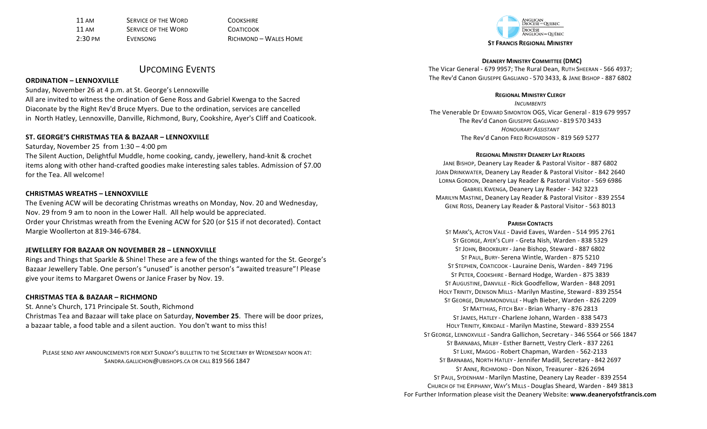11 AM **SERVICE OF THE WORD** COOKSHIRE 11 AM **SERVICE OF THE WORD COATICOOK** 2:30 PM EVENSONG RICHMOND – WALES HOME

### UPCOMING EVENTS

#### **ORDINATION – LENNOXVILLE**

Sunday, November 26 at 4 p.m. at St. George's Lennoxville

All are invited to witness the ordination of Gene Ross and Gabriel Kwenga to the Sacred Diaconate by the Right Rev'd Bruce Myers. Due to the ordination, services are cancelled in North Hatley, Lennoxville, Danville, Richmond, Bury, Cookshire, Ayer's Cliff and Coaticook.

#### **ST. GEORGE'S CHRISTMAS TEA & BAZAAR – LENNOXVILLE**

Saturday, November 25 from  $1:30 - 4:00$  pm

The Silent Auction, Delightful Muddle, home cooking, candy, jewellery, hand-knit & crochet items along with other hand-crafted goodies make interesting sales tables. Admission of \$7.00 for the Tea. All welcome!

#### **CHRISTMAS WREATHS – LENNOXVILLE**

The Evening ACW will be decorating Christmas wreaths on Monday, Nov. 20 and Wednesday, Nov. 29 from 9 am to noon in the Lower Hall. All help would be appreciated. Order your Christmas wreath from the Evening ACW for \$20 (or \$15 if not decorated). Contact Margie Woollerton at 819-346-6784.

#### **JEWELLERY FOR BAZAAR ON NOVEMBER 28 – LENNOXVILLE**

Rings and Things that Sparkle & Shine! These are a few of the things wanted for the St. George's Bazaar Jewellery Table. One person's "unused" is another person's "awaited treasure"! Please give your items to Margaret Owens or Janice Fraser by Nov. 19.

#### **CHRISTMAS TEA & BAZAAR – RICHMOND**

St. Anne's Church, 171 Principale St. South, Richmond Christmas Tea and Bazaar will take place on Saturday, November 25. There will be door prizes, a bazaar table, a food table and a silent auction. You don't want to miss this!

PLEASE SEND ANY ANNOUNCEMENTS FOR NEXT SUNDAY'S BULLETIN TO THE SECRETARY BY WEDNESDAY NOON AT: SANDRA.GALLICHON@UBISHOPS.CA OR CALL 819 566 1847



**DEANERY MINISTRY COMMITTEE (DMC)** The Vicar General - 679 9957; The Rural Dean, RUTH SHEERAN - 566 4937; The Rev'd Canon GIUSEPPE GAGLIANO - 570 3433, & JANE BISHOP - 887 6802

#### **REGIONAL MINISTRY CLERGY**

*INCUMBENTS* The Venerable Dr EDWARD SIMONTON OGS, Vicar General - 819 679 9957 The Rev'd Canon GIUSEPPE GAGLIANO - 819 570 3433 *HONOURARY ASSISTANT* The Rev'd Canon Frep Richardson - 819 569 5277

#### **REGIONAL MINISTRY DEANERY LAY READERS**

JANE BISHOP, Deanery Lay Reader & Pastoral Visitor - 887 6802 JOAN DRINKWATER, Deanery Lay Reader & Pastoral Visitor - 842 2640 LORNA GORDON, Deanery Lay Reader & Pastoral Visitor - 569 6986 GABRIEL KWENGA, Deanery Lay Reader - 342 3223 MARILYN MASTINE, Deanery Lay Reader & Pastoral Visitor - 839 2554 GENE ROSS, Deanery Lay Reader & Pastoral Visitor - 563 8013

#### **PARISH CONTACTS**

ST MARK'S, ACTON VALE - David Eaves, Warden - 514 995 2761 ST GEORGE, AYER'S CLIFF - Greta Nish, Warden - 838 5329 ST JOHN, BROOKBURY - Jane Bishop, Steward - 887 6802 ST PAUL, BURY- Serena Wintle, Warden - 875 5210 ST STEPHEN, COATICOOK - Lauraine Denis, Warden - 849 7196 ST PETER, COOKSHIRE - Bernard Hodge, Warden - 875 3839 ST AUGUSTINE, DANVILLE - Rick Goodfellow, Warden - 848 2091 HOLY TRINITY, DENISON MILLS - Marilyn Mastine, Steward - 839 2554 ST GEORGE, DRUMMONDVILLE - Hugh Bieber, Warden - 826 2209 ST MATTHIAS, FITCH BAY - Brian Wharry - 876 2813 ST JAMES, HATLEY - Charlene Johann, Warden - 838 5473 HOLY TRINITY, KIRKDALE - Marilyn Mastine, Steward - 839 2554 ST GEORGE, LENNOXVILLE - Sandra Gallichon, Secretary - 346 5564 or 566 1847 ST BARNABAS, MILBY - Esther Barnett, Vestry Clerk - 837 2261 ST LUKE, MAGOG - Robert Chapman, Warden - 562-2133 ST BARNABAS, NORTH HATLEY - Jennifer Madill, Secretary - 842 2697 ST ANNE, RICHMOND - Don Nixon, Treasurer - 826 2694 ST PAUL, SYDENHAM - Marilyn Mastine, Deanery Lay Reader - 839 2554 CHURCH OF THE EPIPHANY, WAY's MILLS - Douglas Sheard, Warden - 849 3813 For Further Information please visit the Deanery Website: www.deaneryofstfrancis.com